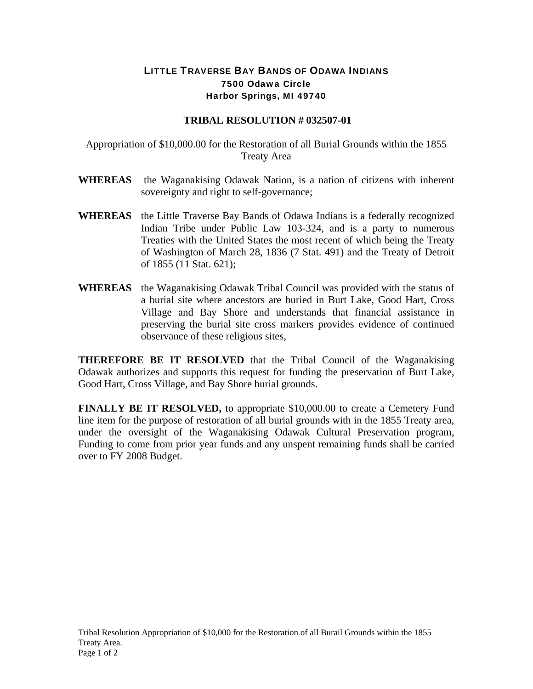## LITTLE TRAVERSE BAY BANDS OF ODAWA INDIANS 7500 Odawa Circle Harbor Springs, MI 49740

## **TRIBAL RESOLUTION # 032507-01**

Appropriation of \$10,000.00 for the Restoration of all Burial Grounds within the 1855 Treaty Area

- **WHEREAS** the Waganakising Odawak Nation, is a nation of citizens with inherent sovereignty and right to self-governance;
- **WHEREAS** the Little Traverse Bay Bands of Odawa Indians is a federally recognized Indian Tribe under Public Law 103-324, and is a party to numerous Treaties with the United States the most recent of which being the Treaty of Washington of March 28, 1836 (7 Stat. 491) and the Treaty of Detroit of 1855 (11 Stat. 621);
- **WHEREAS** the Waganakising Odawak Tribal Council was provided with the status of a burial site where ancestors are buried in Burt Lake, Good Hart, Cross Village and Bay Shore and understands that financial assistance in preserving the burial site cross markers provides evidence of continued observance of these religious sites,

**THEREFORE BE IT RESOLVED** that the Tribal Council of the Waganakising Odawak authorizes and supports this request for funding the preservation of Burt Lake, Good Hart, Cross Village, and Bay Shore burial grounds.

**FINALLY BE IT RESOLVED,** to appropriate \$10,000.00 to create a Cemetery Fund line item for the purpose of restoration of all burial grounds with in the 1855 Treaty area, under the oversight of the Waganakising Odawak Cultural Preservation program, Funding to come from prior year funds and any unspent remaining funds shall be carried over to FY 2008 Budget.